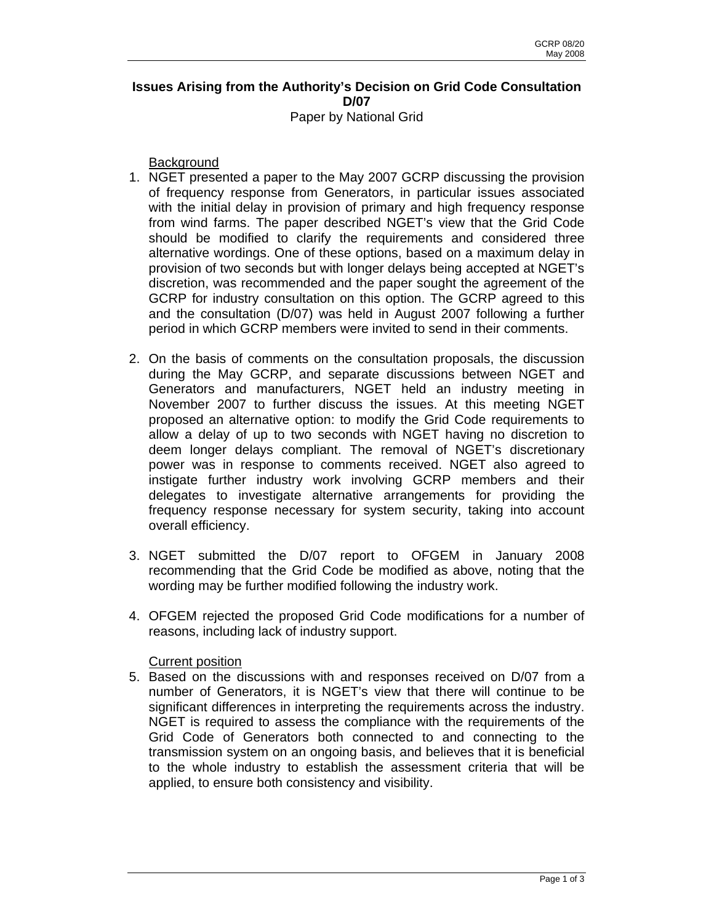## **Issues Arising from the Authority's Decision on Grid Code Consultation D/07**  Paper by National Grid

**Background** 

- 1. NGET presented a paper to the May 2007 GCRP discussing the provision of frequency response from Generators, in particular issues associated with the initial delay in provision of primary and high frequency response from wind farms. The paper described NGET's view that the Grid Code should be modified to clarify the requirements and considered three alternative wordings. One of these options, based on a maximum delay in provision of two seconds but with longer delays being accepted at NGET's discretion, was recommended and the paper sought the agreement of the GCRP for industry consultation on this option. The GCRP agreed to this and the consultation (D/07) was held in August 2007 following a further period in which GCRP members were invited to send in their comments.
- 2. On the basis of comments on the consultation proposals, the discussion during the May GCRP, and separate discussions between NGET and Generators and manufacturers, NGET held an industry meeting in November 2007 to further discuss the issues. At this meeting NGET proposed an alternative option: to modify the Grid Code requirements to allow a delay of up to two seconds with NGET having no discretion to deem longer delays compliant. The removal of NGET's discretionary power was in response to comments received. NGET also agreed to instigate further industry work involving GCRP members and their delegates to investigate alternative arrangements for providing the frequency response necessary for system security, taking into account overall efficiency.
- 3. NGET submitted the D/07 report to OFGEM in January 2008 recommending that the Grid Code be modified as above, noting that the wording may be further modified following the industry work.
- 4. OFGEM rejected the proposed Grid Code modifications for a number of reasons, including lack of industry support.

Current position

5. Based on the discussions with and responses received on D/07 from a number of Generators, it is NGET's view that there will continue to be significant differences in interpreting the requirements across the industry. NGET is required to assess the compliance with the requirements of the Grid Code of Generators both connected to and connecting to the transmission system on an ongoing basis, and believes that it is beneficial to the whole industry to establish the assessment criteria that will be applied, to ensure both consistency and visibility.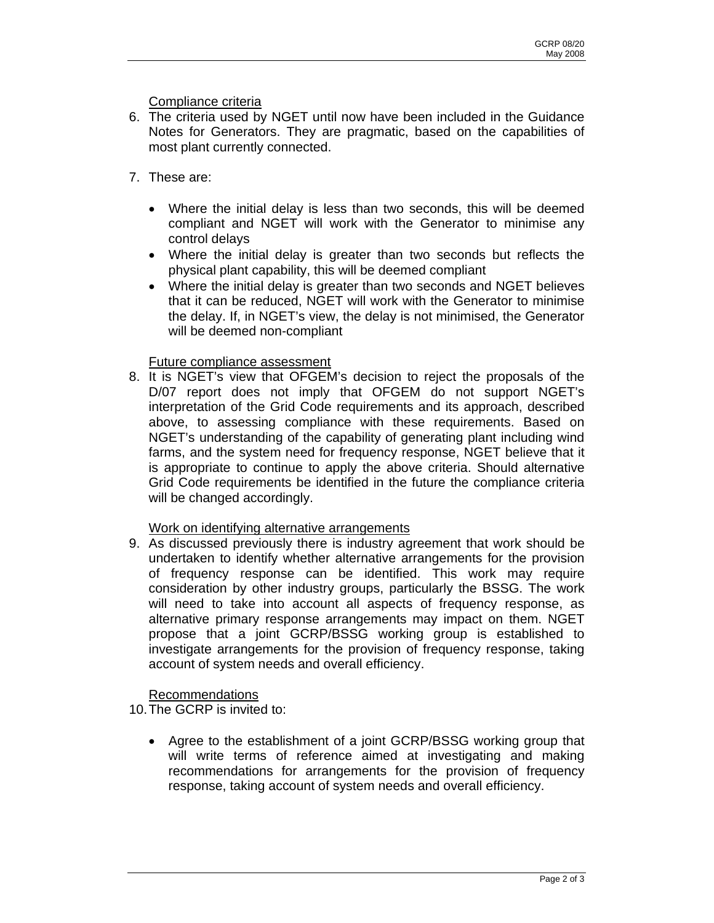Compliance criteria

- 6. The criteria used by NGET until now have been included in the Guidance Notes for Generators. They are pragmatic, based on the capabilities of most plant currently connected.
- 7. These are:
	- Where the initial delay is less than two seconds, this will be deemed compliant and NGET will work with the Generator to minimise any control delays
	- Where the initial delay is greater than two seconds but reflects the physical plant capability, this will be deemed compliant
	- Where the initial delay is greater than two seconds and NGET believes that it can be reduced, NGET will work with the Generator to minimise the delay. If, in NGET's view, the delay is not minimised, the Generator will be deemed non-compliant

## Future compliance assessment

8. It is NGET's view that OFGEM's decision to reject the proposals of the D/07 report does not imply that OFGEM do not support NGET's interpretation of the Grid Code requirements and its approach, described above, to assessing compliance with these requirements. Based on NGET's understanding of the capability of generating plant including wind farms, and the system need for frequency response, NGET believe that it is appropriate to continue to apply the above criteria. Should alternative Grid Code requirements be identified in the future the compliance criteria will be changed accordingly.

## Work on identifying alternative arrangements

9. As discussed previously there is industry agreement that work should be undertaken to identify whether alternative arrangements for the provision of frequency response can be identified. This work may require consideration by other industry groups, particularly the BSSG. The work will need to take into account all aspects of frequency response, as alternative primary response arrangements may impact on them. NGET propose that a joint GCRP/BSSG working group is established to investigate arrangements for the provision of frequency response, taking account of system needs and overall efficiency.

## Recommendations

10. The GCRP is invited to:

• Agree to the establishment of a joint GCRP/BSSG working group that will write terms of reference aimed at investigating and making recommendations for arrangements for the provision of frequency response, taking account of system needs and overall efficiency.